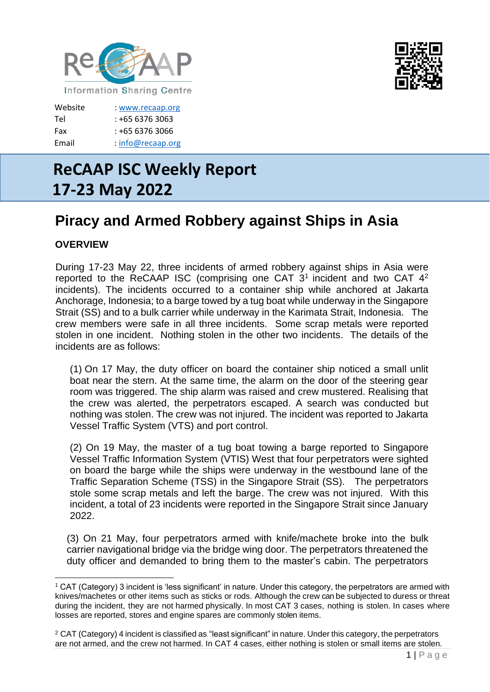



Website [: www.recaap.org](http://www.recaap.org/) Tel : +65 6376 3063 Fax : +65 6376 3066 Email : info@recaap.org

# **ReCAAP ISC Weekly Report 17-23 May 2022**

# **Piracy and Armed Robbery against Ships in Asia**

## **OVERVIEW**

During 17-23 May 22, three incidents of armed robbery against ships in Asia were reported to the ReCAAP ISC (comprising one CAT  $3<sup>1</sup>$  incident and two CAT  $4<sup>2</sup>$ incidents). The incidents occurred to a container ship while anchored at Jakarta Anchorage, Indonesia; to a barge towed by a tug boat while underway in the Singapore Strait (SS) and to a bulk carrier while underway in the Karimata Strait, Indonesia. The crew members were safe in all three incidents. Some scrap metals were reported stolen in one incident. Nothing stolen in the other two incidents. The details of the incidents are as follows:

(1) On 17 May, the duty officer on board the container ship noticed a small unlit boat near the stern. At the same time, the alarm on the door of the steering gear room was triggered. The ship alarm was raised and crew mustered. Realising that the crew was alerted, the perpetrators escaped. A search was conducted but nothing was stolen. The crew was not injured. The incident was reported to Jakarta Vessel Traffic System (VTS) and port control.

(2) On 19 May, the master of a tug boat towing a barge reported to Singapore Vessel Traffic Information System (VTIS) West that four perpetrators were sighted on board the barge while the ships were underway in the westbound lane of the Traffic Separation Scheme (TSS) in the Singapore Strait (SS). The perpetrators stole some scrap metals and left the barge. The crew was not injured. With this incident, a total of 23 incidents were reported in the Singapore Strait since January 2022.

(3) On 21 May, four perpetrators armed with knife/machete broke into the bulk carrier navigational bridge via the bridge wing door. The perpetrators threatened the duty officer and demanded to bring them to the master's cabin. The perpetrators

<sup>1</sup> CAT (Category) 3 incident is 'less significant' in nature. Under this category, the perpetrators are armed with knives/machetes or other items such as sticks or rods. Although the crew can be subjected to duress or threat during the incident, they are not harmed physically. In most CAT 3 cases, nothing is stolen. In cases where losses are reported, stores and engine spares are commonly stolen items.

<sup>2</sup> CAT (Category) 4 incident is classified as "least significant" in nature. Under this category, the perpetrators are not armed, and the crew not harmed. In CAT 4 cases, either nothing is stolen or small items are stolen.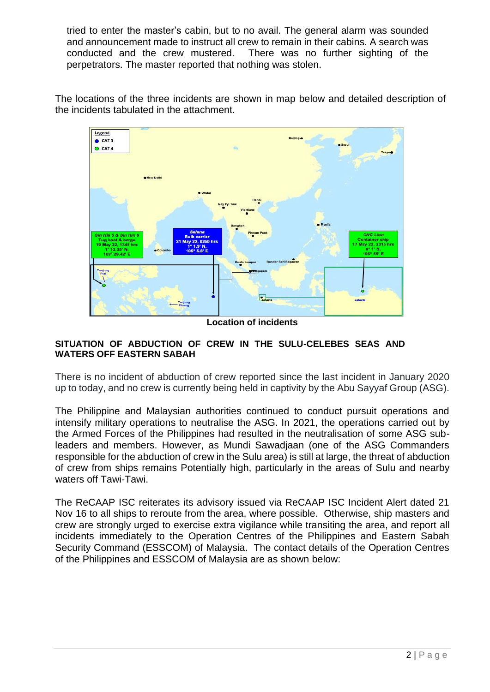tried to enter the master's cabin, but to no avail. The general alarm was sounded and announcement made to instruct all crew to remain in their cabins. A search was conducted and the crew mustered. There was no further sighting of the perpetrators. The master reported that nothing was stolen.

The locations of the three incidents are shown in map below and detailed description of the incidents tabulated in the attachment.



**Location of incidents**

#### **SITUATION OF ABDUCTION OF CREW IN THE SULU-CELEBES SEAS AND WATERS OFF EASTERN SABAH**

There is no incident of abduction of crew reported since the last incident in January 2020 up to today, and no crew is currently being held in captivity by the Abu Sayyaf Group (ASG).

The Philippine and Malaysian authorities continued to conduct pursuit operations and intensify military operations to neutralise the ASG. In 2021, the operations carried out by the Armed Forces of the Philippines had resulted in the neutralisation of some ASG subleaders and members. However, as Mundi Sawadjaan (one of the ASG Commanders responsible for the abduction of crew in the Sulu area) is still at large, the threat of abduction of crew from ships remains Potentially high, particularly in the areas of Sulu and nearby waters off Tawi-Tawi.

The ReCAAP ISC reiterates its advisory issued via ReCAAP ISC Incident Alert dated 21 Nov 16 to all ships to reroute from the area, where possible. Otherwise, ship masters and crew are strongly urged to exercise extra vigilance while transiting the area, and report all incidents immediately to the Operation Centres of the Philippines and Eastern Sabah Security Command (ESSCOM) of Malaysia. The contact details of the Operation Centres of the Philippines and ESSCOM of Malaysia are as shown below: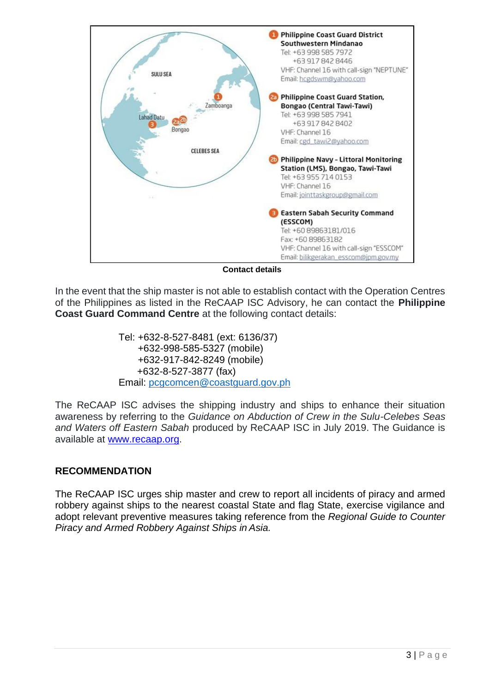

**Contact details**

In the event that the ship master is not able to establish contact with the Operation Centres of the Philippines as listed in the ReCAAP ISC Advisory, he can contact the **Philippine Coast Guard Command Centre** at the following contact details:

> Tel: +632-8-527-8481 (ext: 6136/37) +632-998-585-5327 (mobile) +632-917-842-8249 (mobile) +632-8-527-3877 (fax) Email: [pcgcomcen@coastguard.gov.ph](mailto:pcgcomcen@coastguard.gov.ph)

The ReCAAP ISC advises the shipping industry and ships to enhance their situation awareness by referring to the *Guidance on Abduction of Crew in the Sulu-Celebes Seas and Waters off Eastern Sabah* produced by ReCAAP ISC in July 2019. The Guidance is available at [www.recaap.org.](http://www.recaap.org/)

### **RECOMMENDATION**

The ReCAAP ISC urges ship master and crew to report all incidents of piracy and armed robbery against ships to the nearest coastal State and flag State, exercise vigilance and adopt relevant preventive measures taking reference from the *Regional Guide to Counter Piracy and Armed Robbery Against Ships in Asia.*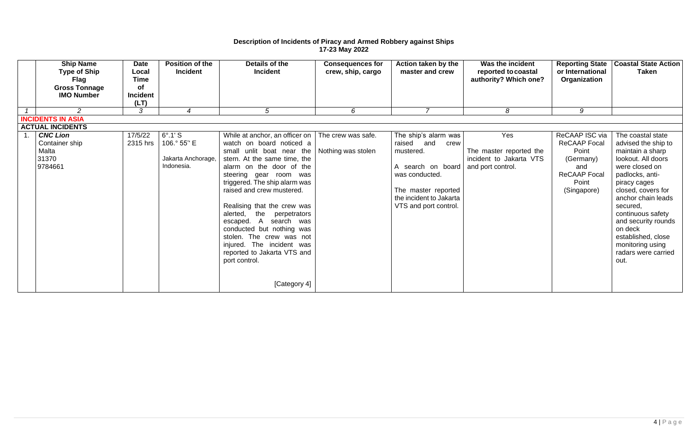#### **Description of Incidents of Piracy and Armed Robbery against Ships 17-23 May 2022**

| <b>Ship Name</b><br><b>Type of Ship</b><br>Flag<br><b>Gross Tonnage</b><br><b>IMO Number</b> | <b>Date</b><br>Local<br><b>Time</b><br><b>of</b><br><b>Incident</b><br>(LT) | <b>Position of the</b><br><b>Incident</b>                         | Details of the<br><b>Incident</b>                                                                                                                                                                                                                                                                                                                                                                                                                                                               | <b>Consequences for</b><br>crew, ship, cargo | Action taken by the<br>master and crew                                                                                                                                    | Was the incident<br>reported to coastal<br>authority? Which one?               | <b>Reporting State</b><br>or International<br>Organization                                                        | <b>Coastal State Action</b><br><b>Taken</b>                                                                                                                                                                                                                                                                                     |
|----------------------------------------------------------------------------------------------|-----------------------------------------------------------------------------|-------------------------------------------------------------------|-------------------------------------------------------------------------------------------------------------------------------------------------------------------------------------------------------------------------------------------------------------------------------------------------------------------------------------------------------------------------------------------------------------------------------------------------------------------------------------------------|----------------------------------------------|---------------------------------------------------------------------------------------------------------------------------------------------------------------------------|--------------------------------------------------------------------------------|-------------------------------------------------------------------------------------------------------------------|---------------------------------------------------------------------------------------------------------------------------------------------------------------------------------------------------------------------------------------------------------------------------------------------------------------------------------|
| $\overline{2}$                                                                               | 3                                                                           | $\overline{4}$                                                    | $5\overline{)}$                                                                                                                                                                                                                                                                                                                                                                                                                                                                                 | 6                                            | $\overline{7}$                                                                                                                                                            | 8                                                                              | 9                                                                                                                 |                                                                                                                                                                                                                                                                                                                                 |
| <b>INCIDENTS IN ASIA</b>                                                                     |                                                                             |                                                                   |                                                                                                                                                                                                                                                                                                                                                                                                                                                                                                 |                                              |                                                                                                                                                                           |                                                                                |                                                                                                                   |                                                                                                                                                                                                                                                                                                                                 |
| <b>ACTUAL INCIDENTS</b>                                                                      |                                                                             |                                                                   |                                                                                                                                                                                                                                                                                                                                                                                                                                                                                                 |                                              |                                                                                                                                                                           |                                                                                |                                                                                                                   |                                                                                                                                                                                                                                                                                                                                 |
| <b>CNC Lion</b><br>Container ship<br>Malta<br>31370<br>9784661                               | 17/5/22<br>2315 hrs                                                         | $6^\circ.1'$ S<br>106.° 55" E<br>Jakarta Anchorage,<br>Indonesia. | While at anchor, an officer on<br>watch on board noticed a<br>small unlit boat near the<br>stern. At the same time, the<br>alarm on the door of the<br>steering gear room was<br>triggered. The ship alarm was<br>raised and crew mustered.<br>Realising that the crew was<br>alerted,<br>the<br>perpetrators<br>escaped. A<br>search was<br>conducted but nothing was<br>stolen. The crew was not<br>injured. The incident was<br>reported to Jakarta VTS and<br>port control.<br>[Category 4] | The crew was safe.<br>Nothing was stolen     | The ship's alarm was<br>raised and<br>crew<br>mustered.<br>A search on board<br>was conducted.<br>The master reported<br>the incident to Jakarta<br>VTS and port control. | Yes<br>The master reported the<br>incident to Jakarta VTS<br>and port control. | ReCAAP ISC via<br><b>ReCAAP Focal</b><br>Point<br>(Germany)<br>and<br><b>ReCAAP Focal</b><br>Point<br>(Singapore) | The coastal state<br>advised the ship to<br>maintain a sharp<br>lookout. All doors<br>were closed on<br>padlocks, anti-<br>piracy cages<br>closed, covers for<br>anchor chain leads<br>secured,<br>continuous safety<br>and security rounds<br>on deck<br>established, close<br>monitoring using<br>radars were carried<br>out. |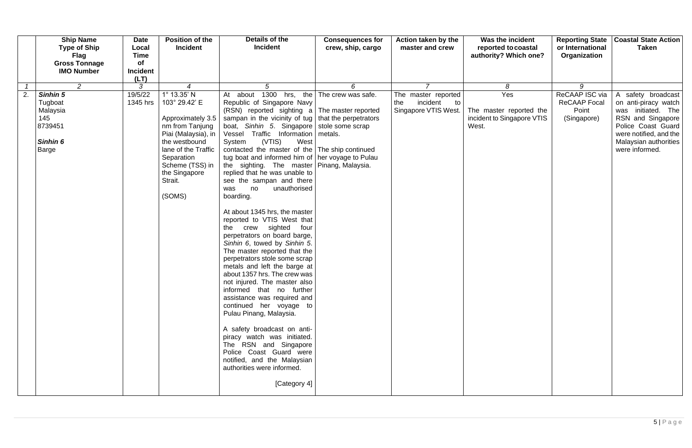| <b>Ship Name</b><br><b>Type of Ship</b><br><b>Flag</b><br><b>Gross Tonnage</b><br><b>IMO Number</b> | <b>Date</b><br>Local<br><b>Time</b><br><b>of</b><br><b>Incident</b> | <b>Position of the</b><br><b>Incident</b>                                                                                                                                                                    | Details of the<br><b>Incident</b>                                                                                                                                                                                                                                                                                                                                                                                                                                                                                                                                                                                                                                                                                                                                                                                                                                                                                                                                                                                                                                                                                                                                                           | <b>Consequences for</b><br>crew, ship, cargo | Action taken by the<br>master and crew                               | Was the incident<br>reported to coastal<br>authority? Which one?      | <b>Reporting State</b><br>or International<br>Organization    | <b>Coastal State Action</b><br><b>Taken</b>                                                                                                                                      |
|-----------------------------------------------------------------------------------------------------|---------------------------------------------------------------------|--------------------------------------------------------------------------------------------------------------------------------------------------------------------------------------------------------------|---------------------------------------------------------------------------------------------------------------------------------------------------------------------------------------------------------------------------------------------------------------------------------------------------------------------------------------------------------------------------------------------------------------------------------------------------------------------------------------------------------------------------------------------------------------------------------------------------------------------------------------------------------------------------------------------------------------------------------------------------------------------------------------------------------------------------------------------------------------------------------------------------------------------------------------------------------------------------------------------------------------------------------------------------------------------------------------------------------------------------------------------------------------------------------------------|----------------------------------------------|----------------------------------------------------------------------|-----------------------------------------------------------------------|---------------------------------------------------------------|----------------------------------------------------------------------------------------------------------------------------------------------------------------------------------|
| $\overline{2}$                                                                                      | (LT)<br>3                                                           | $\boldsymbol{4}$                                                                                                                                                                                             | $5\overline{)}$                                                                                                                                                                                                                                                                                                                                                                                                                                                                                                                                                                                                                                                                                                                                                                                                                                                                                                                                                                                                                                                                                                                                                                             | 6                                            | $\overline{7}$                                                       | 8                                                                     | 9                                                             |                                                                                                                                                                                  |
| 2.<br>Sinhin 5<br>Tugboat<br>Malaysia<br>145<br>8739451<br>Sinhin 6<br>Barge                        | 19/5/22<br>1345 hrs                                                 | 1° 13.35' N<br>103° 29.42' E<br>Approximately 3.5<br>nm from Tanjung<br>Piai (Malaysia), in  <br>the westbound<br>lane of the Traffic<br>Separation<br>Scheme (TSS) in<br>the Singapore<br>Strait.<br>(SOMS) | 1300 hrs, the<br>about<br>At<br>Republic of Singapore Navy<br>$(RSN)$ reported sighting a The master reported<br>sampan in the vicinity of tug   that the perpetrators<br>boat, Sinhin 5. Singapore   stole some scrap<br>Vessel Traffic Information<br>(VTIS)<br>West<br>System<br>contacted the master of the The ship continued<br>tug boat and informed him of   her voyage to Pulau<br>the sighting. The master   Pinang, Malaysia.<br>replied that he was unable to<br>see the sampan and there<br>unauthorised<br>no<br>was<br>boarding.<br>At about 1345 hrs, the master<br>reported to VTIS West that<br>the crew sighted<br>four<br>perpetrators on board barge,<br>Sinhin 6, towed by Sinhin 5.<br>The master reported that the<br>perpetrators stole some scrap<br>metals and left the barge at<br>about 1357 hrs. The crew was<br>not injured. The master also<br>informed that no further<br>assistance was required and<br>continued her voyage to<br>Pulau Pinang, Malaysia.<br>A safety broadcast on anti-<br>piracy watch was initiated.<br>The RSN and Singapore<br>Police Coast Guard were<br>notified, and the Malaysian<br>authorities were informed.<br>[Category 4] | The crew was safe.<br>metals.                | The master reported<br>the<br>incident<br>to<br>Singapore VTIS West. | Yes<br>The master reported the<br>incident to Singapore VTIS<br>West. | ReCAAP ISC via<br><b>ReCAAP Focal</b><br>Point<br>(Singapore) | A safety broadcast<br>on anti-piracy watch<br>was initiated. The<br>RSN and Singapore<br>Police Coast Guard<br>were notified, and the<br>Malaysian authorities<br>were informed. |